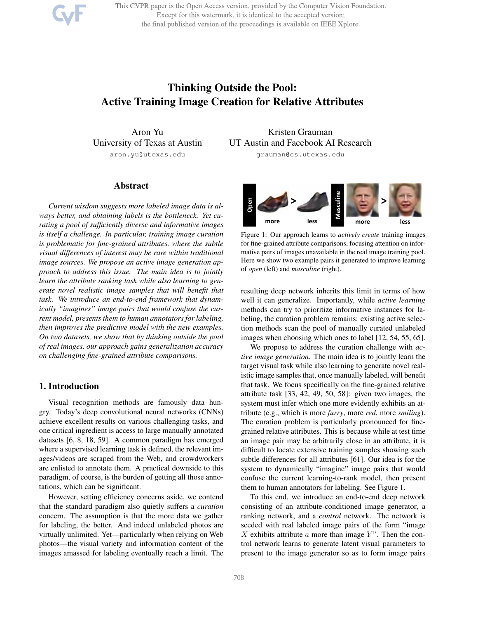This CVPR paper is the Open Access version, provided by the Computer Vision Foundation. Except for this watermark, it is identical to the accepted version; the final published version of the proceedings is available on IEEE Xplore.

# Thinking Outside the Pool: Active Training Image Creation for Relative Attributes

Aron Yu University of Texas at Austin aron.yu@utexas.edu

## Abstract

*Current wisdom suggests more labeled image data is always better, and obtaining labels is the bottleneck. Yet curating a pool of sufficiently diverse and informative images is itself a challenge. In particular, training image curation is problematic for fine-grained attributes, where the subtle visual differences of interest may be rare within traditional image sources. We propose an active image generation approach to address this issue. The main idea is to jointly learn the attribute ranking task while also learning to generate novel realistic image samples that will benefit that task. We introduce an end-to-end framework that dynamically "imagines" image pairs that would confuse the current model, presents them to human annotators for labeling, then improves the predictive model with the new examples. On two datasets, we show that by thinking outside the pool of real images, our approach gains generalization accuracy on challenging fine-grained attribute comparisons.*

# 1. Introduction

Visual recognition methods are famously data hungry. Today's deep convolutional neural networks (CNNs) achieve excellent results on various challenging tasks, and one critical ingredient is access to large manually annotated datasets [6, 8, 18, 59]. A common paradigm has emerged where a supervised learning task is defined, the relevant images/videos are scraped from the Web, and crowdworkers are enlisted to annotate them. A practical downside to this paradigm, of course, is the burden of getting all those annotations, which can be significant.

However, setting efficiency concerns aside, we contend that the standard paradigm also quietly suffers a *curation* concern. The assumption is that the more data we gather for labeling, the better. And indeed unlabeled photos are virtually unlimited. Yet—particularly when relying on Web photos—the visual variety and information content of the images amassed for labeling eventually reach a limit. The

Kristen Grauman UT Austin and Facebook AI Research

grauman@cs.utexas.edu



Figure 1: Our approach learns to *actively create* training images for fine-grained attribute comparisons, focusing attention on informative pairs of images unavailable in the real image training pool. Here we show two example pairs it generated to improve learning of *open* (left) and *masculine* (right).

resulting deep network inherits this limit in terms of how well it can generalize. Importantly, while *active learning* methods can try to prioritize informative instances for labeling, the curation problem remains: existing active selection methods scan the pool of manually curated unlabeled images when choosing which ones to label [12, 54, 55, 65].

We propose to address the curation challenge with *active image generation*. The main idea is to jointly learn the target visual task while also learning to generate novel realistic image samples that, once manually labeled, will benefit that task. We focus specifically on the fine-grained relative attribute task [33, 42, 49, 50, 58]: given two images, the system must infer which one more evidently exhibits an attribute (e.g., which is more *furry*, more *red*, more *smiling*). The curation problem is particularly pronounced for finegrained relative attributes. This is because while at test time an image pair may be arbitrarily close in an attribute, it is difficult to locate extensive training samples showing such subtle differences for all attributes [61]. Our idea is for the system to dynamically "imagine" image pairs that would confuse the current learning-to-rank model, then present them to human annotators for labeling. See Figure 1.

To this end, we introduce an end-to-end deep network consisting of an attribute-conditioned image generator, a ranking network, and a *control* network. The network is seeded with real labeled image pairs of the form "image X exhibits attribute  $\alpha$  more than image Y". Then the control network learns to generate latent visual parameters to present to the image generator so as to form image pairs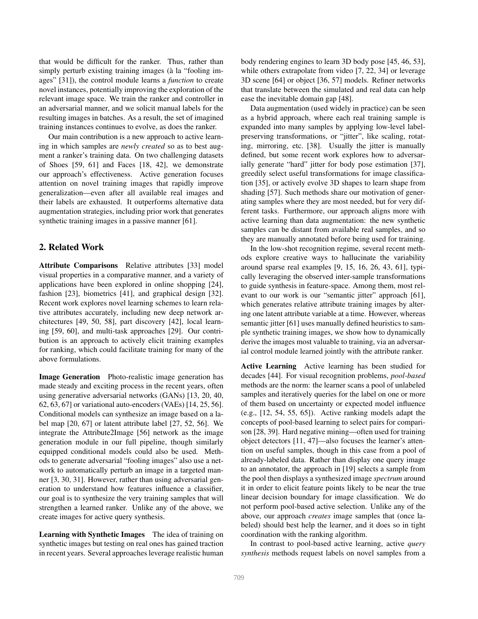that would be difficult for the ranker. Thus, rather than simply perturb existing training images (à la "fooling images" [31]), the control module learns a *function* to create novel instances, potentially improving the exploration of the relevant image space. We train the ranker and controller in an adversarial manner, and we solicit manual labels for the resulting images in batches. As a result, the set of imagined training instances continues to evolve, as does the ranker.

Our main contribution is a new approach to active learning in which samples are *newly created* so as to best augment a ranker's training data. On two challenging datasets of Shoes [59, 61] and Faces [18, 42], we demonstrate our approach's effectiveness. Active generation focuses attention on novel training images that rapidly improve generalization—even after all available real images and their labels are exhausted. It outperforms alternative data augmentation strategies, including prior work that generates synthetic training images in a passive manner [61].

# 2. Related Work

Attribute Comparisons Relative attributes [33] model visual properties in a comparative manner, and a variety of applications have been explored in online shopping [24], fashion [23], biometrics [41], and graphical design [32]. Recent work explores novel learning schemes to learn relative attributes accurately, including new deep network architectures [49, 50, 58], part discovery [42], local learning [59, 60], and multi-task approaches [29]. Our contribution is an approach to actively elicit training examples for ranking, which could facilitate training for many of the above formulations.

Image Generation Photo-realistic image generation has made steady and exciting process in the recent years, often using generative adversarial networks (GANs) [13, 20, 40, 62, 63, 67] or variational auto-encoders (VAEs) [14, 25, 56]. Conditional models can synthesize an image based on a label map [20, 67] or latent attribute label [27, 52, 56]. We integrate the Attribute2Image [56] network as the image generation module in our full pipeline, though similarly equipped conditional models could also be used. Methods to generate adversarial "fooling images" also use a network to automatically perturb an image in a targeted manner [3, 30, 31]. However, rather than using adversarial generation to understand how features influence a classifier, our goal is to synthesize the very training samples that will strengthen a learned ranker. Unlike any of the above, we create images for active query synthesis.

Learning with Synthetic Images The idea of training on synthetic images but testing on real ones has gained traction in recent years. Several approaches leverage realistic human

body rendering engines to learn 3D body pose [45, 46, 53], while others extrapolate from video [7, 22, 34] or leverage 3D scene [64] or object [36, 57] models. Refiner networks that translate between the simulated and real data can help ease the inevitable domain gap [48].

Data augmentation (used widely in practice) can be seen as a hybrid approach, where each real training sample is expanded into many samples by applying low-level labelpreserving transformations, or "jitter", like scaling, rotating, mirroring, etc. [38]. Usually the jitter is manually defined, but some recent work explores how to adversarially generate "hard" jitter for body pose estimation [37], greedily select useful transformations for image classification [35], or actively evolve 3D shapes to learn shape from shading [57]. Such methods share our motivation of generating samples where they are most needed, but for very different tasks. Furthermore, our approach aligns more with active learning than data augmentation: the new synthetic samples can be distant from available real samples, and so they are manually annotated before being used for training.

In the low-shot recognition regime, several recent methods explore creative ways to hallucinate the variability around sparse real examples [9, 15, 16, 26, 43, 61], typically leveraging the observed inter-sample transformations to guide synthesis in feature-space. Among them, most relevant to our work is our "semantic jitter" approach [61], which generates relative attribute training images by altering one latent attribute variable at a time. However, whereas semantic jitter [61] uses manually defined heuristics to sample synthetic training images, we show how to dynamically derive the images most valuable to training, via an adversarial control module learned jointly with the attribute ranker.

Active Learning Active learning has been studied for decades [44]. For visual recognition problems, *pool-based* methods are the norm: the learner scans a pool of unlabeled samples and iteratively queries for the label on one or more of them based on uncertainty or expected model influence (e.g., [12, 54, 55, 65]). Active ranking models adapt the concepts of pool-based learning to select pairs for comparison [28, 39]. Hard negative mining—often used for training object detectors [11, 47]—also focuses the learner's attention on useful samples, though in this case from a pool of already-labeled data. Rather than display one query image to an annotator, the approach in [19] selects a sample from the pool then displays a synthesized image *spectrum* around it in order to elicit feature points likely to be near the true linear decision boundary for image classification. We do not perform pool-based active selection. Unlike any of the above, our approach *creates* image samples that (once labeled) should best help the learner, and it does so in tight coordination with the ranking algorithm.

In contrast to pool-based active learning, active *query synthesis* methods request labels on novel samples from a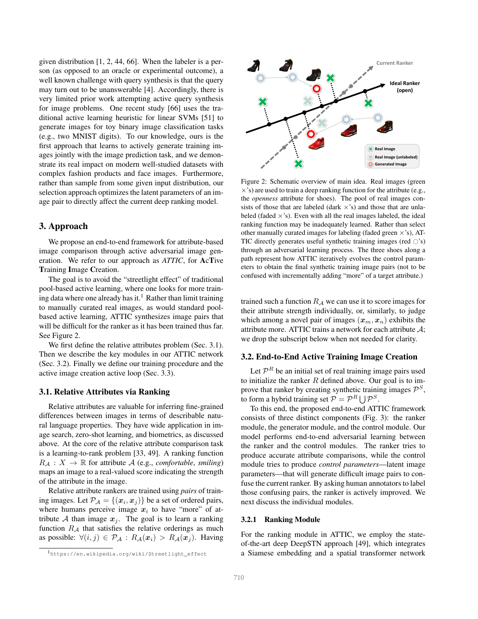given distribution [1, 2, 44, 66]. When the labeler is a person (as opposed to an oracle or experimental outcome), a well known challenge with query synthesis is that the query may turn out to be unanswerable [4]. Accordingly, there is very limited prior work attempting active query synthesis for image problems. One recent study [66] uses the traditional active learning heuristic for linear SVMs [51] to generate images for toy binary image classification tasks (e.g., two MNIST digits). To our knowledge, ours is the first approach that learns to actively generate training images jointly with the image prediction task, and we demonstrate its real impact on modern well-studied datasets with complex fashion products and face images. Furthermore, rather than sample from some given input distribution, our selection approach optimizes the latent parameters of an image pair to directly affect the current deep ranking model.

# 3. Approach

We propose an end-to-end framework for attribute-based image comparison through active adversarial image generation. We refer to our approach as *ATTIC*, for AcTive Training Image Creation.

The goal is to avoid the "streetlight effect" of traditional pool-based active learning, where one looks for more training data where one already has it.<sup>1</sup> Rather than limit training to manually curated real images, as would standard poolbased active learning, ATTIC synthesizes image pairs that will be difficult for the ranker as it has been trained thus far. See Figure 2.

We first define the relative attributes problem (Sec. 3.1). Then we describe the key modules in our ATTIC network (Sec. 3.2). Finally we define our training procedure and the active image creation active loop (Sec. 3.3).

## 3.1. Relative Attributes via Ranking

Relative attributes are valuable for inferring fine-grained differences between images in terms of describable natural language properties. They have wide application in image search, zero-shot learning, and biometrics, as discussed above. At the core of the relative attribute comparison task is a learning-to-rank problem [33, 49]. A ranking function  $R_A: X \to \mathbb{R}$  for attribute A (e.g., *comfortable*, *smiling*) maps an image to a real-valued score indicating the strength of the attribute in the image.

Relative attribute rankers are trained using *pairs* of training images. Let  $\mathcal{P}_{\mathcal{A}} = \{(\boldsymbol{x}_i, \boldsymbol{x}_j)\}\$  be a set of ordered pairs, where humans perceive image  $x_i$  to have "more" of attribute A than image  $x_i$ . The goal is to learn a ranking function  $R_A$  that satisfies the relative orderings as much as possible:  $\forall (i, j) \in \mathcal{P}_{\mathcal{A}} : R_{\mathcal{A}}(\boldsymbol{x}_i) > R_{\mathcal{A}}(\boldsymbol{x}_j)$ . Having



Figure 2: Schematic overview of main idea. Real images (green  $\times$ 's) are used to train a deep ranking function for the attribute (e.g., the *openness* attribute for shoes). The pool of real images consists of those that are labeled (dark  $\times$ 's) and those that are unlabeled (faded  $\times$ 's). Even with all the real images labeled, the ideal ranking function may be inadequately learned. Rather than select other manually curated images for labeling (faded green  $\times$ 's), AT-TIC directly generates useful synthetic training images (red  $\circ$ 's) through an adversarial learning process. The three shoes along a path represent how ATTIC iteratively evolves the control parameters to obtain the final synthetic training image pairs (not to be confused with incrementally adding "more" of a target attribute.)

trained such a function  $R_A$  we can use it to score images for their attribute strength individually, or, similarly, to judge which among a novel pair of images  $(x_m, x_n)$  exhibits the attribute more. ATTIC trains a network for each attribute  $A$ ; we drop the subscript below when not needed for clarity.

## 3.2. End-to-End Active Training Image Creation

Let  $\mathcal{P}^R$  be an initial set of real training image pairs used to initialize the ranker  $R$  defined above. Our goal is to improve that ranker by creating synthetic training images  $\mathcal{P}^S$ , to form a hybrid training set  $P = \mathcal{P}^R \bigcup \mathcal{P}^S$ .

To this end, the proposed end-to-end ATTIC framework consists of three distinct components (Fig. 3): the ranker module, the generator module, and the control module. Our model performs end-to-end adversarial learning between the ranker and the control modules. The ranker tries to produce accurate attribute comparisons, while the control module tries to produce *control parameters*—latent image parameters—that will generate difficult image pairs to confuse the current ranker. By asking human annotators to label those confusing pairs, the ranker is actively improved. We next discuss the individual modules.

### 3.2.1 Ranking Module

For the ranking module in ATTIC, we employ the stateof-the-art deep DeepSTN approach [49], which integrates a Siamese embedding and a spatial transformer network

<sup>1</sup>https://en.wikipedia.org/wiki/Streetlight\_effect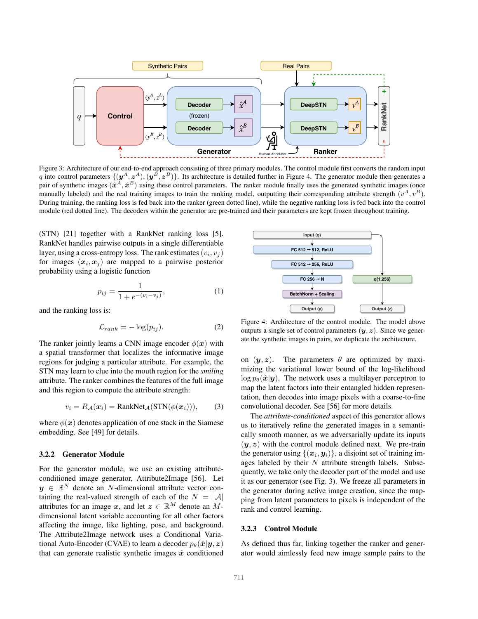

Figure 3: Architecture of our end-to-end approach consisting of three primary modules. The control module first converts the random input q into control parameters  $\{(\mathbf{y}^A, \mathbf{z}^A), (\mathbf{y}^B, \mathbf{z}^B)\}\$ . Its architecture is detailed further in Figure 4. The generator module then generates a pair of synthetic images  $(\hat{x}^A, \hat{x}^B)$  using these control parameters. The ranker module finally uses the generated synthetic images (once manually labeled) and the real training images to train the ranking model, outputting their corresponding attribute strength  $(v^A, v^B)$ . During training, the ranking loss is fed back into the ranker (green dotted line), while the negative ranking loss is fed back into the control module (red dotted line). The decoders within the generator are pre-trained and their parameters are kept frozen throughout training.

(STN) [21] together with a RankNet ranking loss [5]. RankNet handles pairwise outputs in a single differentiable layer, using a cross-entropy loss. The rank estimates  $(v_i, v_j)$ for images  $(x_i, x_j)$  are mapped to a pairwise posterior probability using a logistic function

$$
p_{ij} = \frac{1}{1 + e^{-(v_i - v_j)}},\tag{1}
$$

and the ranking loss is:

$$
\mathcal{L}_{rank} = -\log(p_{ij}).\tag{2}
$$

The ranker jointly learns a CNN image encoder  $\phi(\mathbf{x})$  with a spatial transformer that localizes the informative image regions for judging a particular attribute. For example, the STN may learn to clue into the mouth region for the *smiling* attribute. The ranker combines the features of the full image and this region to compute the attribute strength:

$$
v_i = R_{\mathcal{A}}(\boldsymbol{x}_i) = \text{RankNet}_{\mathcal{A}}(\text{STN}(\phi(\boldsymbol{x}_i))),\qquad(3)
$$

where  $\phi(x)$  denotes application of one stack in the Siamese embedding. See [49] for details.

#### 3.2.2 Generator Module

For the generator module, we use an existing attributeconditioned image generator, Attribute2Image [56]. Let  $y \in \mathbb{R}^N$  denote an N-dimensional attribute vector containing the real-valued strength of each of the  $N = |\mathcal{A}|$ attributes for an image x, and let  $z \in \mathbb{R}^M$  denote an Mdimensional latent variable accounting for all other factors affecting the image, like lighting, pose, and background. The Attribute2Image network uses a Conditional Variational Auto-Encoder (CVAE) to learn a decoder  $p_{\theta}(\hat{x}|y, z)$ that can generate realistic synthetic images  $\hat{x}$  conditioned



Figure 4: Architecture of the control module. The model above outputs a single set of control parameters  $(y, z)$ . Since we generate the synthetic images in pairs, we duplicate the architecture.

on  $(y, z)$ . The parameters  $\theta$  are optimized by maximizing the variational lower bound of the log-likelihood  $\log p_{\theta}(\hat{\boldsymbol{x}}|\boldsymbol{y})$ . The network uses a multilayer perceptron to map the latent factors into their entangled hidden representation, then decodes into image pixels with a coarse-to-fine convolutional decoder. See [56] for more details.

The *attribute-conditioned* aspect of this generator allows us to iteratively refine the generated images in a semantically smooth manner, as we adversarially update its inputs  $(y, z)$  with the control module defined next. We pre-train the generator using  $\{(x_i, y_i)\}\text{, a disjoint set of training im-}$ ages labeled by their  $N$  attribute strength labels. Subsequently, we take only the decoder part of the model and use it as our generator (see Fig. 3). We freeze all parameters in the generator during active image creation, since the mapping from latent parameters to pixels is independent of the rank and control learning.

## 3.2.3 Control Module

As defined thus far, linking together the ranker and generator would aimlessly feed new image sample pairs to the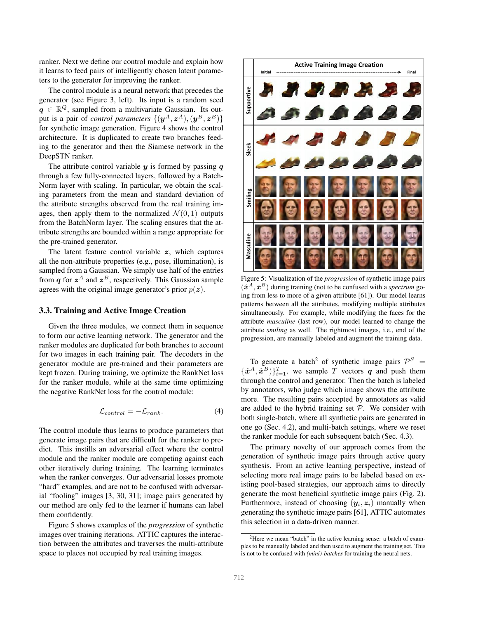ranker. Next we define our control module and explain how it learns to feed pairs of intelligently chosen latent parameters to the generator for improving the ranker.

The control module is a neural network that precedes the generator (see Figure 3, left). Its input is a random seed  $q \in \mathbb{R}^Q$ , sampled from a multivariate Gaussian. Its output is a pair of *control parameters*  $\{(\bm{y}^A,\bm{z}^A),(\bm{y}^B,\bm{z}^B)\}$ for synthetic image generation. Figure 4 shows the control architecture. It is duplicated to create two branches feeding to the generator and then the Siamese network in the DeepSTN ranker.

The attribute control variable  $y$  is formed by passing  $q$ through a few fully-connected layers, followed by a Batch-Norm layer with scaling. In particular, we obtain the scaling parameters from the mean and standard deviation of the attribute strengths observed from the real training images, then apply them to the normalized  $\mathcal{N}(0, 1)$  outputs from the BatchNorm layer. The scaling ensures that the attribute strengths are bounded within a range appropriate for the pre-trained generator.

The latent feature control variable  $z$ , which captures all the non-attribute properties (e.g., pose, illumination), is sampled from a Gaussian. We simply use half of the entries from q for  $z^A$  and  $z^B$ , respectively. This Gaussian sample agrees with the original image generator's prior  $p(z)$ .

#### 3.3. Training and Active Image Creation

Given the three modules, we connect them in sequence to form our active learning network. The generator and the ranker modules are duplicated for both branches to account for two images in each training pair. The decoders in the generator module are pre-trained and their parameters are kept frozen. During training, we optimize the RankNet loss for the ranker module, while at the same time optimizing the negative RankNet loss for the control module:

$$
\mathcal{L}_{control} = -\mathcal{L}_{rank}.\tag{4}
$$

The control module thus learns to produce parameters that generate image pairs that are difficult for the ranker to predict. This instills an adversarial effect where the control module and the ranker module are competing against each other iteratively during training. The learning terminates when the ranker converges. Our adversarial losses promote "hard" examples, and are not to be confused with adversarial "fooling" images [3, 30, 31]; image pairs generated by our method are only fed to the learner if humans can label them confidently.

Figure 5 shows examples of the *progression* of synthetic images over training iterations. ATTIC captures the interaction between the attributes and traverses the multi-attribute space to places not occupied by real training images.



Figure 5: Visualization of the *progression* of synthetic image pairs  $(\hat{\boldsymbol{x}}^{A}, \hat{\boldsymbol{x}}^{B})$  during training (not to be confused with a *spectrum* going from less to more of a given attribute [61]). Our model learns patterns between all the attributes, modifying multiple attributes simultaneously. For example, while modifying the faces for the attribute *masculine* (last row), our model learned to change the attribute *smiling* as well. The rightmost images, i.e., end of the progression, are manually labeled and augment the training data.

To generate a batch<sup>2</sup> of synthetic image pairs  $\mathcal{P}^S =$  $\{\hat{\mathbf{x}}^A, \hat{\mathbf{x}}^B\}_{i=1}^T$ , we sample T vectors q and push them through the control and generator. Then the batch is labeled by annotators, who judge which image shows the attribute more. The resulting pairs accepted by annotators as valid are added to the hybrid training set  $P$ . We consider with both single-batch, where all synthetic pairs are generated in one go (Sec. 4.2), and multi-batch settings, where we reset the ranker module for each subsequent batch (Sec. 4.3).

The primary novelty of our approach comes from the generation of synthetic image pairs through active query synthesis. From an active learning perspective, instead of selecting more real image pairs to be labeled based on existing pool-based strategies, our approach aims to directly generate the most beneficial synthetic image pairs (Fig. 2). Furthermore, instead of choosing  $(y_i, z_i)$  manually when generating the synthetic image pairs [61], ATTIC automates this selection in a data-driven manner.

<sup>&</sup>lt;sup>2</sup>Here we mean "batch" in the active learning sense: a batch of examples to be manually labeled and then used to augment the training set. This is not to be confused with *(mini)-batches* for training the neural nets.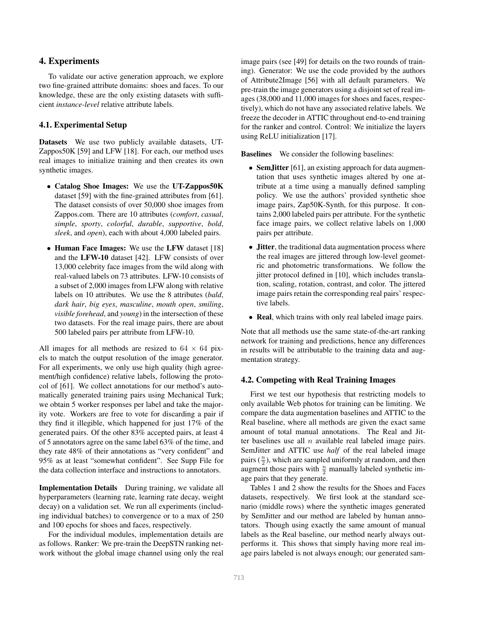# 4. Experiments

To validate our active generation approach, we explore two fine-grained attribute domains: shoes and faces. To our knowledge, these are the only existing datasets with sufficient *instance-level* relative attribute labels.

## 4.1. Experimental Setup

Datasets We use two publicly available datasets, UT-Zappos50K [59] and LFW [18]. For each, our method uses real images to initialize training and then creates its own synthetic images.

- Catalog Shoe Images: We use the UT-Zappos50K dataset [59] with the fine-grained attributes from [61]. The dataset consists of over 50,000 shoe images from Zappos.com. There are 10 attributes (*comfort*, *casual*, *simple*, *sporty*, *colorful*, *durable*, *supportive*, *bold*, *sleek*, and *open*), each with about 4,000 labeled pairs.
- Human Face Images: We use the LFW dataset [18] and the LFW-10 dataset [42]. LFW consists of over 13,000 celebrity face images from the wild along with real-valued labels on 73 attributes. LFW-10 consists of a subset of 2,000 images from LFW along with relative labels on 10 attributes. We use the 8 attributes (*bald*, *dark hair*, *big eyes*, *masculine*, *mouth open*, *smiling*, *visible forehead*, and *young*) in the intersection of these two datasets. For the real image pairs, there are about 500 labeled pairs per attribute from LFW-10.

All images for all methods are resized to  $64 \times 64$  pixels to match the output resolution of the image generator. For all experiments, we only use high quality (high agreement/high confidence) relative labels, following the protocol of [61]. We collect annotations for our method's automatically generated training pairs using Mechanical Turk; we obtain 5 worker responses per label and take the majority vote. Workers are free to vote for discarding a pair if they find it illegible, which happened for just 17% of the generated pairs. Of the other 83% accepted pairs, at least 4 of 5 annotators agree on the same label 63% of the time, and they rate 48% of their annotations as "very confident" and 95% as at least "somewhat confident". See Supp File for the data collection interface and instructions to annotators.

Implementation Details During training, we validate all hyperparameters (learning rate, learning rate decay, weight decay) on a validation set. We run all experiments (including individual batches) to convergence or to a max of 250 and 100 epochs for shoes and faces, respectively.

For the individual modules, implementation details are as follows. Ranker: We pre-train the DeepSTN ranking network without the global image channel using only the real image pairs (see [49] for details on the two rounds of training). Generator: We use the code provided by the authors of Attribute2Image [56] with all default parameters. We pre-train the image generators using a disjoint set of real images (38,000 and 11,000 images for shoes and faces, respectively), which do not have any associated relative labels. We freeze the decoder in ATTIC throughout end-to-end training for the ranker and control. Control: We initialize the layers using ReLU initialization [17].

Baselines We consider the following baselines:

- SemJitter [61], an existing approach for data augmentation that uses synthetic images altered by one attribute at a time using a manually defined sampling policy. We use the authors' provided synthetic shoe image pairs, Zap50K-Synth, for this purpose. It contains 2,000 labeled pairs per attribute. For the synthetic face image pairs, we collect relative labels on 1,000 pairs per attribute.
- Jitter, the traditional data augmentation process where the real images are jittered through low-level geometric and photometric transformations. We follow the jitter protocol defined in [10], which includes translation, scaling, rotation, contrast, and color. The jittered image pairs retain the corresponding real pairs' respective labels.
- Real, which trains with only real labeled image pairs.

Note that all methods use the same state-of-the-art ranking network for training and predictions, hence any differences in results will be attributable to the training data and augmentation strategy.

## 4.2. Competing with Real Training Images

First we test our hypothesis that restricting models to only available Web photos for training can be limiting. We compare the data augmentation baselines and ATTIC to the Real baseline, where all methods are given the exact same amount of total manual annotations. The Real and Jitter baselines use all  $n$  available real labeled image pairs. SemJitter and ATTIC use *half* of the real labeled image pairs  $(\frac{n}{2})$ , which are sampled uniformly at random, and then augment those pairs with  $\frac{n}{2}$  manually labeled synthetic image pairs that they generate.

Tables 1 and 2 show the results for the Shoes and Faces datasets, respectively. We first look at the standard scenario (middle rows) where the synthetic images generated by SemJitter and our method are labeled by human annotators. Though using exactly the same amount of manual labels as the Real baseline, our method nearly always outperforms it. This shows that simply having more real image pairs labeled is not always enough; our generated sam-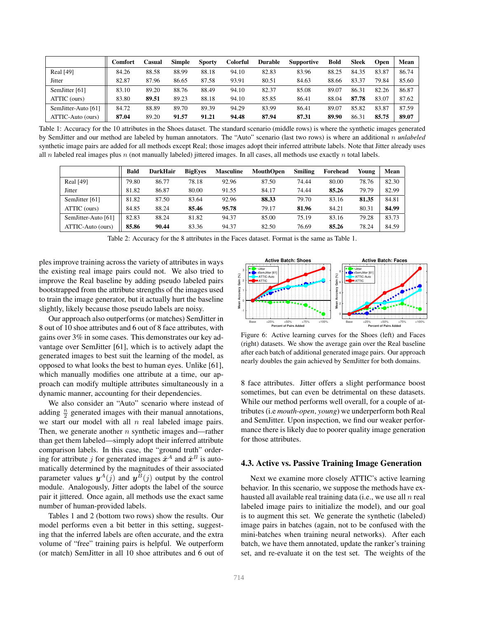|                     | <b>Comfort</b> | Casual | Simple | <b>Sporty</b> | Colorful | <b>Durable</b> | <b>Supportive</b> | <b>Bold</b> | <b>Sleek</b> | Open  | Mean  |
|---------------------|----------------|--------|--------|---------------|----------|----------------|-------------------|-------------|--------------|-------|-------|
| Real [49]           | 84.26          | 88.58  | 88.99  | 88.18         | 94.10    | 82.83          | 83.96             | 88.25       | 84.35        | 83.87 | 86.74 |
| Jitter              | 82.87          | 87.96  | 86.65  | 87.58         | 93.91    | 80.51          | 84.63             | 88.66       | 83.37        | 79.84 | 85.60 |
| SemJitter [61]      | 83.10          | 89.20  | 88.76  | 88.49         | 94.10    | 82.37          | 85.08             | 89.07       | 86.31        | 82.26 | 86.87 |
| ATTIC (ours)        | 83.80          | 89.51  | 89.23  | 88.18         | 94.10    | 85.85          | 86.41             | 88.04       | 87.78        | 83.07 | 87.62 |
| SemJitter-Auto [61] | 84.72          | 88.89  | 89.70  | 89.39         | 94.29    | 83.99          | 86.41             | 89.07       | 85.82        | 83.87 | 87.59 |
| ATTIC-Auto (ours)   | 87.04          | 89.20  | 91.57  | 91.21         | 94.48    | 87.94          | 87.31             | 89.90       | 86.31        | 85.75 | 89.07 |

Table 1: Accuracy for the 10 attributes in the Shoes dataset. The standard scenario (middle rows) is where the synthetic images generated by SemJitter and our method are labeled by human annotators. The "Auto" scenario (last two rows) is where an additional n *unlabeled* synthetic image pairs are added for all methods except Real; those images adopt their inferred attribute labels. Note that Jitter already uses all  $n$  labeled real images plus  $n$  (not manually labeled) jittered images. In all cases, all methods use exactly  $n$  total labels.

|                     | Bald  | <b>DarkHair</b> | <b>BigEves</b> | <b>Masculine</b> | <b>MouthOpen</b> | <b>Smiling</b> | Forehead | Young | Mean  |
|---------------------|-------|-----------------|----------------|------------------|------------------|----------------|----------|-------|-------|
| Real [49]           | 79.80 | 86.77           | 78.18          | 92.96            | 87.50            | 74.44          | 80.00    | 78.76 | 82.30 |
| Jitter              | 81.82 | 86.87           | 80.00          | 91.55            | 84.17            | 74.44          | 85.26    | 79.79 | 82.99 |
| SemJitter [61]      | 81.82 | 87.50           | 83.64          | 92.96            | 88.33            | 79.70          | 83.16    | 81.35 | 84.81 |
| ATTIC (ours)        | 84.85 | 88.24           | 85.46          | 95.78            | 79.17            | 81.96          | 84.21    | 80.31 | 84.99 |
| SemJitter-Auto [61] | 82.83 | 88.24           | 81.82          | 94.37            | 85.00            | 75.19          | 83.16    | 79.28 | 83.73 |
| ATTIC-Auto (ours)   | 85.86 | 90.44           | 83.36          | 94.37            | 82.50            | 76.69          | 85.26    | 78.24 | 84.59 |

Table 2: Accuracy for the 8 attributes in the Faces dataset. Format is the same as Table 1.

ples improve training across the variety of attributes in ways the existing real image pairs could not. We also tried to improve the Real baseline by adding pseudo labeled pairs bootstrapped from the attribute strengths of the images used to train the image generator, but it actually hurt the baseline slightly, likely because those pseudo labels are noisy.

Our approach also outperforms (or matches) SemJitter in 8 out of 10 shoe attributes and 6 out of 8 face attributes, with gains over 3% in some cases. This demonstrates our key advantage over SemJitter [61], which is to actively adapt the generated images to best suit the learning of the model, as opposed to what looks the best to human eyes. Unlike [61], which manually modifies one attribute at a time, our approach can modify multiple attributes simultaneously in a dynamic manner, accounting for their dependencies.

We also consider an "Auto" scenario where instead of adding  $\frac{n}{2}$  generated images with their manual annotations, we start our model with all  $n$  real labeled image pairs. Then, we generate another  $n$  synthetic images and—rather than get them labeled—simply adopt their inferred attribute comparison labels. In this case, the "ground truth" ordering for attribute j for generated images  $\hat{x}^A$  and  $\hat{x}^B$  is automatically determined by the magnitudes of their associated parameter values  $y^A(j)$  and  $y^B(j)$  output by the control module. Analogously, Jitter adopts the label of the source pair it jittered. Once again, all methods use the exact same number of human-provided labels.

Tables 1 and 2 (bottom two rows) show the results. Our model performs even a bit better in this setting, suggesting that the inferred labels are often accurate, and the extra volume of "free" training pairs is helpful. We outperform (or match) SemJitter in all 10 shoe attributes and 6 out of



Figure 6: Active learning curves for the Shoes (left) and Faces (right) datasets. We show the average gain over the Real baseline after each batch of additional generated image pairs. Our approach nearly doubles the gain achieved by SemJitter for both domains.

8 face attributes. Jitter offers a slight performance boost sometimes, but can even be detrimental on these datasets. While our method performs well overall, for a couple of attributes (i.e *mouth-open*, *young*) we underperform both Real and SemJitter. Upon inspection, we find our weaker performance there is likely due to poorer quality image generation for those attributes.

#### 4.3. Active vs. Passive Training Image Generation

Next we examine more closely ATTIC's active learning behavior. In this scenario, we suppose the methods have exhausted all available real training data (i.e., we use all  $n$  real labeled image pairs to initialize the model), and our goal is to augment this set. We generate the synthetic (labeled) image pairs in batches (again, not to be confused with the mini-batches when training neural networks). After each batch, we have them annotated, update the ranker's training set, and re-evaluate it on the test set. The weights of the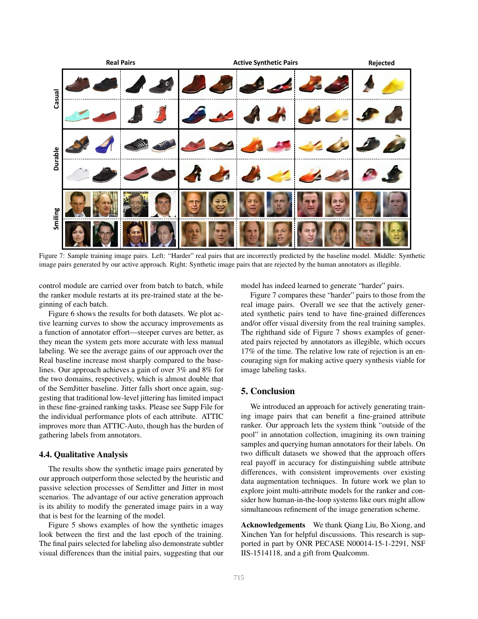

Figure 7: Sample training image pairs. Left: "Harder" real pairs that are incorrectly predicted by the baseline model. Middle: Synthetic image pairs generated by our active approach. Right: Synthetic image pairs that are rejected by the human annotators as illegible.

control module are carried over from batch to batch, while the ranker module restarts at its pre-trained state at the beginning of each batch.

Figure 6 shows the results for both datasets. We plot active learning curves to show the accuracy improvements as a function of annotator effort—steeper curves are better, as they mean the system gets more accurate with less manual labeling. We see the average gains of our approach over the Real baseline increase most sharply compared to the baselines. Our approach achieves a gain of over 3% and 8% for the two domains, respectively, which is almost double that of the SemJitter baseline. Jitter falls short once again, suggesting that traditional low-level jittering has limited impact in these fine-grained ranking tasks. Please see Supp File for the individual performance plots of each attribute. ATTIC improves more than ATTIC-Auto, though has the burden of gathering labels from annotators.

#### 4.4. Qualitative Analysis

The results show the synthetic image pairs generated by our approach outperform those selected by the heuristic and passive selection processes of SemJitter and Jitter in most scenarios. The advantage of our active generation approach is its ability to modify the generated image pairs in a way that is best for the learning of the model.

Figure 5 shows examples of how the synthetic images look between the first and the last epoch of the training. The final pairs selected for labeling also demonstrate subtler visual differences than the initial pairs, suggesting that our model has indeed learned to generate "harder" pairs.

Figure 7 compares these "harder" pairs to those from the real image pairs. Overall we see that the actively generated synthetic pairs tend to have fine-grained differences and/or offer visual diversity from the real training samples. The righthand side of Figure 7 shows examples of generated pairs rejected by annotators as illegible, which occurs 17% of the time. The relative low rate of rejection is an encouraging sign for making active query synthesis viable for image labeling tasks.

# 5. Conclusion

We introduced an approach for actively generating training image pairs that can benefit a fine-grained attribute ranker. Our approach lets the system think "outside of the pool" in annotation collection, imagining its own training samples and querying human annotators for their labels. On two difficult datasets we showed that the approach offers real payoff in accuracy for distinguishing subtle attribute differences, with consistent improvements over existing data augmentation techniques. In future work we plan to explore joint multi-attribute models for the ranker and consider how human-in-the-loop systems like ours might allow simultaneous refinement of the image generation scheme.

Acknowledgements We thank Qiang Liu, Bo Xiong, and Xinchen Yan for helpful discussions. This research is supported in part by ONR PECASE N00014-15-1-2291, NSF IIS-1514118, and a gift from Qualcomm.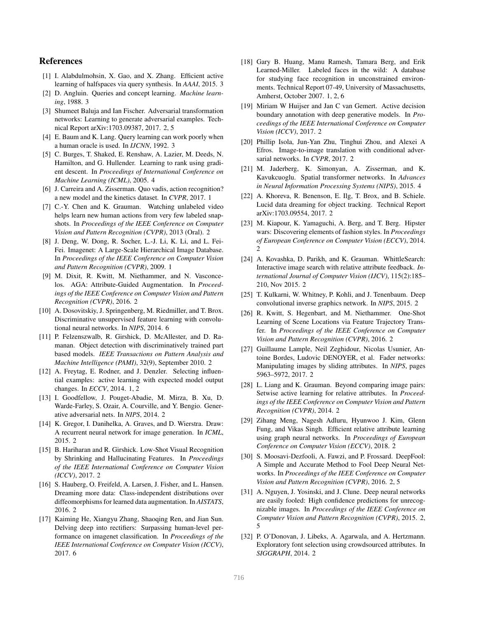# References

- [1] I. Alabdulmohsin, X. Gao, and X. Zhang. Efficient active learning of halfspaces via query synthesis. In *AAAI*, 2015. 3
- [2] D. Angluin. Queries and concept learning. *Machine learning*, 1988. 3
- [3] Shumeet Baluja and Ian Fischer. Adversarial transformation networks: Learning to generate adversarial examples. Technical Report arXiv:1703.09387, 2017. 2, 5
- [4] E. Baum and K. Lang. Query learning can work poorly when a human oracle is used. In *IJCNN*, 1992. 3
- [5] C. Burges, T. Shaked, E. Renshaw, A. Lazier, M. Deeds, N. Hamilton, and G. Hullender. Learning to rank using gradient descent. In *Proceedings of International Conference on Machine Learning (ICML)*, 2005. 4
- [6] J. Carreira and A. Zisserman. Quo vadis, action recognition? a new model and the kinetics dataset. In *CVPR*, 2017. 1
- [7] C.-Y. Chen and K. Grauman. Watching unlabeled video helps learn new human actions from very few labeled snapshots. In *Proceedings of the IEEE Conference on Computer Vision and Pattern Recognition (CVPR)*, 2013 (Oral). 2
- [8] J. Deng, W. Dong, R. Socher, L.-J. Li, K. Li, and L. Fei-Fei. Imagenet: A Large-Scale Hierarchical Image Database. In *Proceedings of the IEEE Conference on Computer Vision and Pattern Recognition (CVPR)*, 2009. 1
- [9] M. Dixit, R. Kwitt, M. Niethammer, and N. Vasconcelos. AGA: Attribute-Guided Augmentation. In *Proceedings of the IEEE Conference on Computer Vision and Pattern Recognition (CVPR)*, 2016. 2
- [10] A. Dosovitskiy, J. Springenberg, M. Riedmiller, and T. Brox. Discriminative unsupervised feature learning with convolutional neural networks. In *NIPS*, 2014. 6
- [11] P. Felzenszwalb, R. Girshick, D. McAllester, and D. Ramanan. Object detection with discriminatively trained part based models. *IEEE Transactions on Pattern Analysis and Machine Intelligence (PAMI)*, 32(9), September 2010. 2
- [12] A. Freytag, E. Rodner, and J. Denzler. Selecting influential examples: active learning with expected model output changes. In *ECCV*, 2014. 1, 2
- [13] I. Goodfellow, J. Pouget-Abadie, M. Mirza, B. Xu, D. Warde-Farley, S. Ozair, A. Courville, and Y. Bengio. Generative adversarial nets. In *NIPS*, 2014. 2
- [14] K. Gregor, I. Danihelka, A. Graves, and D. Wierstra. Draw: A recurrent neural network for image generation. In *ICML*, 2015. 2
- [15] B. Hariharan and R. Girshick. Low-Shot Visual Recognition by Shrinking and Hallucinating Features. In *Proceedings of the IEEE International Conference on Computer Vision (ICCV)*, 2017. 2
- [16] S. Hauberg, O. Freifeld, A. Larsen, J. Fisher, and L. Hansen. Dreaming more data: Class-independent distributions over diffeomorphisms for learned data augmentation. In *AISTATS*, 2016. 2
- [17] Kaiming He, Xiangyu Zhang, Shaoqing Ren, and Jian Sun. Delving deep into rectifiers: Surpassing human-level performance on imagenet classification. In *Proceedings of the IEEE International Conference on Computer Vision (ICCV)*, 2017. 6
- [18] Gary B. Huang, Manu Ramesh, Tamara Berg, and Erik Learned-Miller. Labeled faces in the wild: A database for studying face recognition in unconstrained environments. Technical Report 07-49, University of Massachusetts, Amherst, October 2007. 1, 2, 6
- [19] Miriam W Huijser and Jan C van Gemert. Active decision boundary annotation with deep generative models. In *Proceedings of the IEEE International Conference on Computer Vision (ICCV)*, 2017. 2
- [20] Phillip Isola, Jun-Yan Zhu, Tinghui Zhou, and Alexei A Efros. Image-to-image translation with conditional adversarial networks. In *CVPR*, 2017. 2
- [21] M. Jaderberg, K. Simonyan, A. Zisserman, and K. Kavukcuoglu. Spatial transformer networks. In *Advances in Neural Information Processing Systems (NIPS)*, 2015. 4
- [22] A. Khoreva, R. Benenson, E. Ilg, T. Brox, and B. Schiele. Lucid data dreaming for object tracking. Technical Report arXiv:1703.09554, 2017. 2
- [23] M. Kiapour, K. Yamaguchi, A. Berg, and T. Berg. Hipster wars: Discovering elements of fashion styles. In *Proceedings of European Conference on Computer Vision (ECCV)*, 2014.  $\mathcal{D}_{\mathcal{L}}$
- [24] A. Kovashka, D. Parikh, and K. Grauman. WhittleSearch: Interactive image search with relative attribute feedback. *International Journal of Computer Vision (IJCV)*, 115(2):185– 210, Nov 2015. 2
- [25] T. Kulkarni, W. Whitney, P. Kohli, and J. Tenenbaum. Deep convolutional inverse graphics network. In *NIPS*, 2015. 2
- [26] R. Kwitt, S. Hegenbart, and M. Niethammer. One-Shot Learning of Scene Locations via Feature Trajectory Transfer. In *Proceedings of the IEEE Conference on Computer Vision and Pattern Recognition (CVPR)*, 2016. 2
- [27] Guillaume Lample, Neil Zeghidour, Nicolas Usunier, Antoine Bordes, Ludovic DENOYER, et al. Fader networks: Manipulating images by sliding attributes. In *NIPS*, pages 5963–5972, 2017. 2
- [28] L. Liang and K. Grauman. Beyond comparing image pairs: Setwise active learning for relative attributes. In *Proceedings of the IEEE Conference on Computer Vision and Pattern Recognition (CVPR)*, 2014. 2
- [29] Zihang Meng, Nagesh Adluru, Hyunwoo J. Kim, Glenn Fung, and Vikas Singh. Efficient relative attribute learning using graph neural networks. In *Proceedings of European Conference on Computer Vision (ECCV)*, 2018. 2
- [30] S. Moosavi-Dezfooli, A. Fawzi, and P. Frossard. DeepFool: A Simple and Accurate Method to Fool Deep Neural Networks. In *Proceedings of the IEEE Conference on Computer Vision and Pattern Recognition (CVPR)*, 2016. 2, 5
- [31] A. Nguyen, J. Yosinski, and J. Clune. Deep neural networks are easily fooled: High confidence predictions for unrecognizable images. In *Proceedings of the IEEE Conference on Computer Vision and Pattern Recognition (CVPR)*, 2015. 2, 5
- [32] P. O'Donovan, J. Libeks, A. Agarwala, and A. Hertzmann. Exploratory font selection using crowdsourced attributes. In *SIGGRAPH*, 2014. 2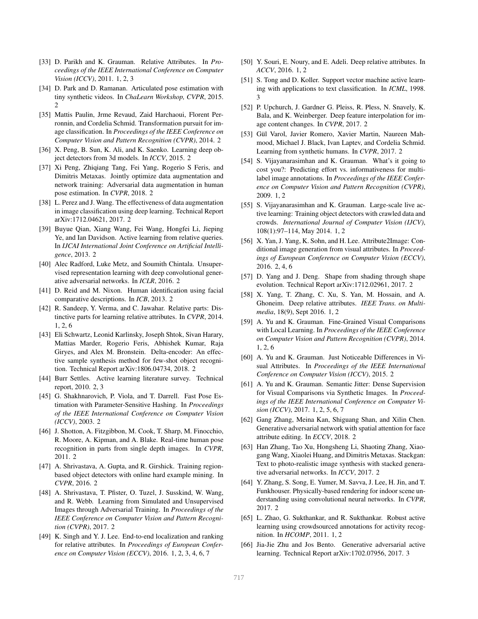- [33] D. Parikh and K. Grauman. Relative Attributes. In *Proceedings of the IEEE International Conference on Computer Vision (ICCV)*, 2011. 1, 2, 3
- [34] D. Park and D. Ramanan. Articulated pose estimation with tiny synthetic videos. In *ChaLearn Workshop, CVPR*, 2015. 2
- [35] Mattis Paulin, Jrme Revaud, Zaid Harchaoui, Florent Perronnin, and Cordelia Schmid. Transformation pursuit for image classification. In *Proceedings of the IEEE Conference on Computer Vision and Pattern Recognition (CVPR)*, 2014. 2
- [36] X. Peng, B. Sun, K. Ali, and K. Saenko. Learning deep object detectors from 3d models. In *ICCV*, 2015. 2
- [37] Xi Peng, Zhiqiang Tang, Fei Yang, Rogerio S Feris, and Dimitris Metaxas. Jointly optimize data augmentation and network training: Adversarial data augmentation in human pose estimation. In *CVPR*, 2018. 2
- [38] L. Perez and J. Wang. The effectiveness of data augmentation in image classification using deep learning. Technical Report arXiv:1712.04621, 2017. 2
- [39] Buyue Qian, Xiang Wang, Fei Wang, Hongfei Li, Jieping Ye, and Ian Davidson. Active learning from relative queries. In *IJCAI International Joint Conference on Artificial Intelligence*, 2013. 2
- [40] Alec Radford, Luke Metz, and Soumith Chintala. Unsupervised representation learning with deep convolutional generative adversarial networks. In *ICLR*, 2016. 2
- [41] D. Reid and M. Nixon. Human identification using facial comparative descriptions. In *ICB*, 2013. 2
- [42] R. Sandeep, Y. Verma, and C. Jawahar. Relative parts: Distinctive parts for learning relative attributes. In *CVPR*, 2014. 1, 2, 6
- [43] Eli Schwartz, Leonid Karlinsky, Joseph Shtok, Sivan Harary, Mattias Marder, Rogerio Feris, Abhishek Kumar, Raja Giryes, and Alex M. Bronstein. Delta-encoder: An effective sample synthesis method for few-shot object recognition. Technical Report arXiv:1806.04734, 2018. 2
- [44] Burr Settles. Active learning literature survey. Technical report, 2010. 2, 3
- [45] G. Shakhnarovich, P. Viola, and T. Darrell. Fast Pose Estimation with Parameter-Sensitive Hashing. In *Proceedings of the IEEE International Conference on Computer Vision (ICCV)*, 2003. 2
- [46] J. Shotton, A. Fitzgibbon, M. Cook, T. Sharp, M. Finocchio, R. Moore, A. Kipman, and A. Blake. Real-time human pose recognition in parts from single depth images. In *CVPR*, 2011. 2
- [47] A. Shrivastava, A. Gupta, and R. Girshick. Training regionbased object detectors with online hard example mining. In *CVPR*, 2016. 2
- [48] A. Shrivastava, T. Pfister, O. Tuzel, J. Susskind, W. Wang, and R. Webb. Learning from Simulated and Unsupervised Images through Adversarial Training. In *Proceedings of the IEEE Conference on Computer Vision and Pattern Recognition (CVPR)*, 2017. 2
- [49] K. Singh and Y. J. Lee. End-to-end localization and ranking for relative attributes. In *Proceedings of European Conference on Computer Vision (ECCV)*, 2016. 1, 2, 3, 4, 6, 7
- [50] Y. Souri, E. Noury, and E. Adeli. Deep relative attributes. In *ACCV*, 2016. 1, 2
- [51] S. Tong and D. Koller. Support vector machine active learning with applications to text classification. In *ICML*, 1998. 3
- [52] P. Upchurch, J. Gardner G. Pleiss, R. Pless, N. Snavely, K. Bala, and K. Weinberger. Deep feature interpolation for image content changes. In *CVPR*, 2017. 2
- [53] Gül Varol, Javier Romero, Xavier Martin, Naureen Mahmood, Michael J. Black, Ivan Laptev, and Cordelia Schmid. Learning from synthetic humans. In *CVPR*, 2017. 2
- [54] S. Vijayanarasimhan and K. Grauman. What's it going to cost you?: Predicting effort vs. informativeness for multilabel image annotations. In *Proceedings of the IEEE Conference on Computer Vision and Pattern Recognition (CVPR)*, 2009. 1, 2
- [55] S. Vijayanarasimhan and K. Grauman. Large-scale live active learning: Training object detectors with crawled data and crowds. *International Journal of Computer Vision (IJCV)*, 108(1):97–114, May 2014. 1, 2
- [56] X. Yan, J. Yang, K. Sohn, and H. Lee. Attribute2Image: Conditional image generation from visual attributes. In *Proceedings of European Conference on Computer Vision (ECCV)*, 2016. 2, 4, 6
- [57] D. Yang and J. Deng. Shape from shading through shape evolution. Technical Report arXiv:1712.02961, 2017. 2
- [58] X. Yang, T. Zhang, C. Xu, S. Yan, M. Hossain, and A. Ghoneim. Deep relative attributes. *IEEE Trans. on Multimedia*, 18(9), Sept 2016. 1, 2
- [59] A. Yu and K. Grauman. Fine-Grained Visual Comparisons with Local Learning. In *Proceedings of the IEEE Conference on Computer Vision and Pattern Recognition (CVPR)*, 2014. 1, 2, 6
- [60] A. Yu and K. Grauman. Just Noticeable Differences in Visual Attributes. In *Proceedings of the IEEE International Conference on Computer Vision (ICCV)*, 2015. 2
- [61] A. Yu and K. Grauman. Semantic Jitter: Dense Supervision for Visual Comparisons via Synthetic Images. In *Proceedings of the IEEE International Conference on Computer Vision (ICCV)*, 2017. 1, 2, 5, 6, 7
- [62] Gang Zhang, Meina Kan, Shiguang Shan, and Xilin Chen. Generative adversarial network with spatial attention for face attribute editing. In *ECCV*, 2018. 2
- [63] Han Zhang, Tao Xu, Hongsheng Li, Shaoting Zhang, Xiaogang Wang, Xiaolei Huang, and Dimitris Metaxas. Stackgan: Text to photo-realistic image synthesis with stacked generative adversarial networks. In *ICCV*, 2017. 2
- [64] Y. Zhang, S. Song, E. Yumer, M. Savva, J. Lee, H. Jin, and T. Funkhouser. Physically-based rendering for indoor scene understanding using convolutional neural networks. In *CVPR*, 2017. 2
- [65] L. Zhao, G. Sukthankar, and R. Sukthankar. Robust active learning using crowdsourced annotations for activity recognition. In *HCOMP*, 2011. 1, 2
- [66] Jia-Jie Zhu and Jos Bento. Generative adversarial active learning. Technical Report arXiv:1702.07956, 2017. 3